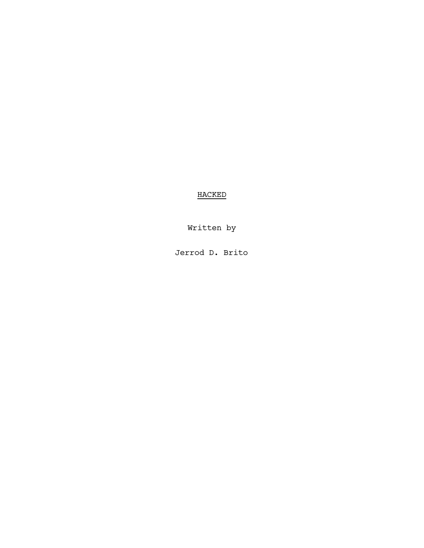HACKED

Written by

Jerrod D. Brito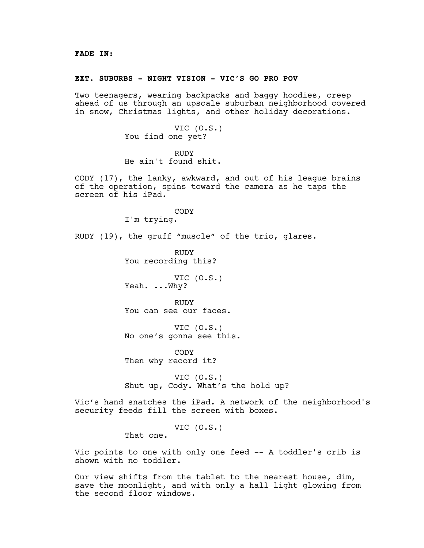#### **EXT. SUBURBS - NIGHT VISION - VIC'S GO PRO POV**

Two teenagers, wearing backpacks and baggy hoodies, creep ahead of us through an upscale suburban neighborhood covered in snow, Christmas lights, and other holiday decorations.

> VIC (O.S.) You find one yet?

> RUDY He ain't found shit.

CODY (17), the lanky, awkward, and out of his league brains of the operation, spins toward the camera as he taps the screen of his iPad.

CODY

I'm trying.

RUDY (19), the gruff "muscle" of the trio, glares.

RUDY You recording this?

VIC (O.S.) Yeah. ...Why?

RUDY You can see our faces.

VIC (O.S.) No one's gonna see this.

CODY Then why record it?

VIC (O.S.) Shut up, Cody. What's the hold up?

Vic's hand snatches the iPad. A network of the neighborhood's security feeds fill the screen with boxes.

VIC (O.S.)

That one.

Vic points to one with only one feed -- A toddler's crib is shown with no toddler.

Our view shifts from the tablet to the nearest house, dim, save the moonlight, and with only a hall light glowing from the second floor windows.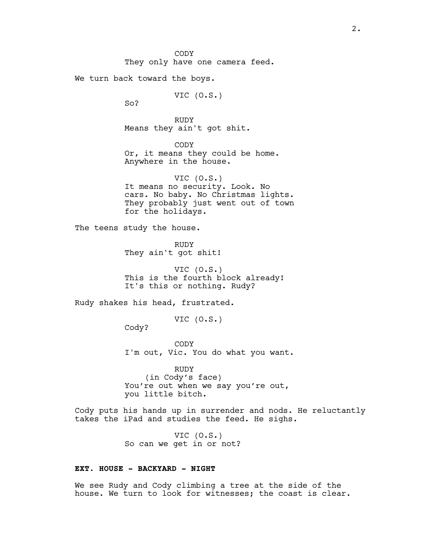CODY They only have one camera feed.

We turn back toward the boys.

VIC (O.S.)

So?

RUDY Means they ain't got shit.

CODY Or, it means they could be home. Anywhere in the house.

VIC (O.S.) It means no security. Look. No cars. No baby. No Christmas lights. They probably just went out of town for the holidays.

The teens study the house.

RUDY They ain't got shit!

VIC (O.S.) This is the fourth block already! It's this or nothing. Rudy?

Rudy shakes his head, frustrated.

VIC (O.S.)

Cody?

CODY I'm out, Vic. You do what you want.

RUDY (in Cody's face) You're out when we say you're out, you little bitch.

Cody puts his hands up in surrender and nods. He reluctantly takes the iPad and studies the feed. He sighs.

> VIC (O.S.) So can we get in or not?

## **EXT. HOUSE - BACKYARD - NIGHT**

We see Rudy and Cody climbing a tree at the side of the house. We turn to look for witnesses; the coast is clear.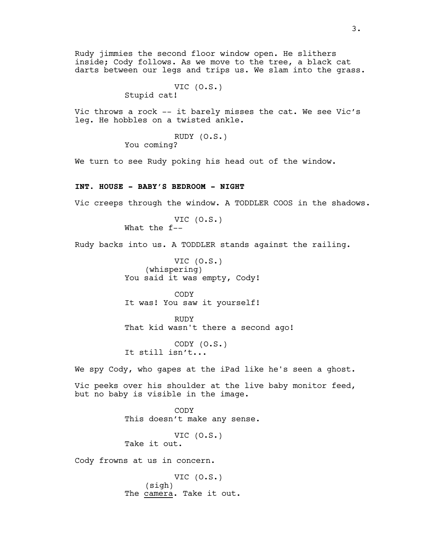Rudy jimmies the second floor window open. He slithers inside; Cody follows. As we move to the tree, a black cat darts between our legs and trips us. We slam into the grass.

> VIC (O.S.) Stupid cat!

Vic throws a rock -- it barely misses the cat. We see Vic's leg. He hobbles on a twisted ankle.

> RUDY (O.S.) You coming?

We turn to see Rudy poking his head out of the window.

# **INT. HOUSE - BABY'S BEDROOM - NIGHT**

Vic creeps through the window. A TODDLER COOS in the shadows.

VIC (O.S.) What the f--

Rudy backs into us. A TODDLER stands against the railing.

VIC (O.S.) (whispering) You said it was empty, Cody!

CODY It was! You saw it yourself!

RUDY That kid wasn't there a second ago!

CODY (O.S.) It still isn't...

We spy Cody, who gapes at the iPad like he's seen a ghost.

Vic peeks over his shoulder at the live baby monitor feed, but no baby is visible in the image.

> CODY This doesn't make any sense.

VIC (O.S.) Take it out.

Cody frowns at us in concern.

VIC (O.S.) (sigh) The camera. Take it out.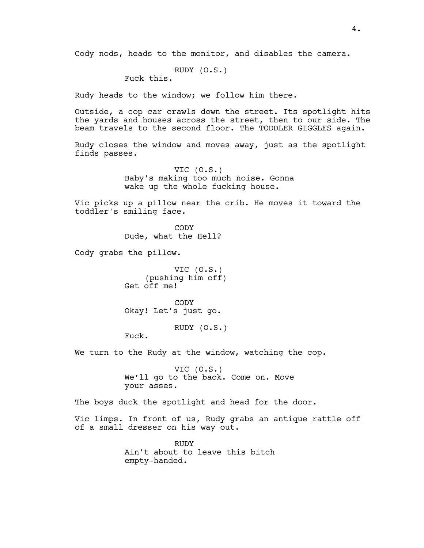Cody nods, heads to the monitor, and disables the camera.

RUDY (O.S.)

Fuck this.

Rudy heads to the window; we follow him there.

Outside, a cop car crawls down the street. Its spotlight hits the yards and houses across the street, then to our side. The beam travels to the second floor. The TODDLER GIGGLES again.

Rudy closes the window and moves away, just as the spotlight finds passes.

> VIC (O.S.) Baby's making too much noise. Gonna wake up the whole fucking house.

Vic picks up a pillow near the crib. He moves it toward the toddler's smiling face.

> CODY Dude, what the Hell?

Cody grabs the pillow.

VIC (O.S.) (pushing him off) Get off me!

CODY Okay! Let's just go.

RUDY (O.S.)

Fuck.

We turn to the Rudy at the window, watching the cop.

VIC (O.S.) We'll go to the back. Come on. Move your asses.

The boys duck the spotlight and head for the door.

Vic limps. In front of us, Rudy grabs an antique rattle off of a small dresser on his way out.

> RUDY Ain't about to leave this bitch empty-handed.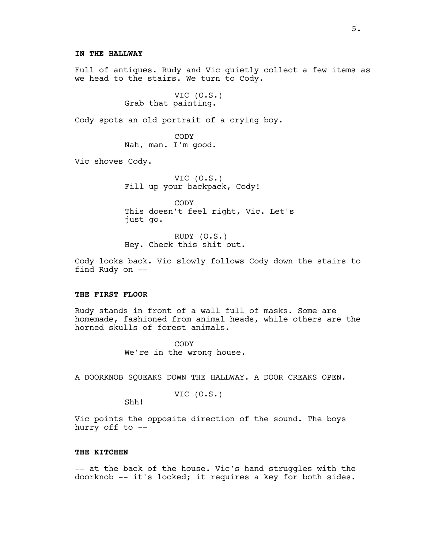## **IN THE HALLWAY**

Full of antiques. Rudy and Vic quietly collect a few items as we head to the stairs. We turn to Cody.

> VIC (O.S.) Grab that painting.

Cody spots an old portrait of a crying boy.

CODY Nah, man. I'm good.

Vic shoves Cody.

VIC (O.S.) Fill up your backpack, Cody!

CODY This doesn't feel right, Vic. Let's just go.

RUDY (O.S.) Hey. Check this shit out.

Cody looks back. Vic slowly follows Cody down the stairs to find Rudy on --

### **THE FIRST FLOOR**

Rudy stands in front of a wall full of masks. Some are homemade, fashioned from animal heads, while others are the horned skulls of forest animals.

> CODY We're in the wrong house.

A DOORKNOB SQUEAKS DOWN THE HALLWAY. A DOOR CREAKS OPEN.

VIC 
$$
(0.S.)
$$

Shh!

Vic points the opposite direction of the sound. The boys hurry off to --

## **THE KITCHEN**

-- at the back of the house. Vic's hand struggles with the doorknob -- it's locked; it requires a key for both sides.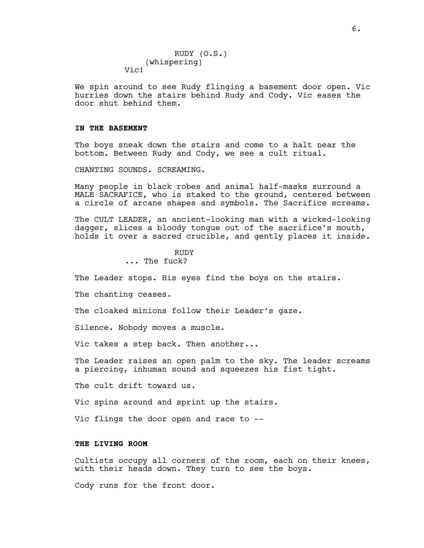```
RUDY (O.S.)
    (whispering)
Vic!
```
We spin around to see Rudy flinging a basement door open. Vic hurries down the stairs behind Rudy and Cody. Vic eases the door shut behind them.

#### **IN THE BASEMENT**

The boys sneak down the stairs and come to a halt near the bottom. Between Rudy and Cody, we see a cult ritual.

CHANTING SOUNDS. SCREAMING.

Many people in black robes and animal half-masks surround a MALE SACRAFICE, who is staked to the ground, centered between a circle of arcane shapes and symbols. The Sacrifice screams.

The CULT LEADER, an ancient-looking man with a wicked-looking dagger, slices a bloody tongue out of the sacrifice's mouth, holds it over a sacred crucible, and gently places it inside.

#### RUDY ... The fuck?

The Leader stops. His eyes find the boys on the stairs.

The chanting ceases.

The cloaked minions follow their Leader's gaze.

Silence. Nobody moves a muscle.

Vic takes a step back. Then another...

The Leader raises an open palm to the sky. The leader screams a piercing, inhuman sound and squeezes his fist tight.

The cult drift toward us.

Vic spins around and sprint up the stairs.

Vic flings the door open and race to --

#### **THE LIVING ROOM**

Cultists occupy all corners of the room, each on their knees, with their heads down. They turn to see the boys.

Cody runs for the front door.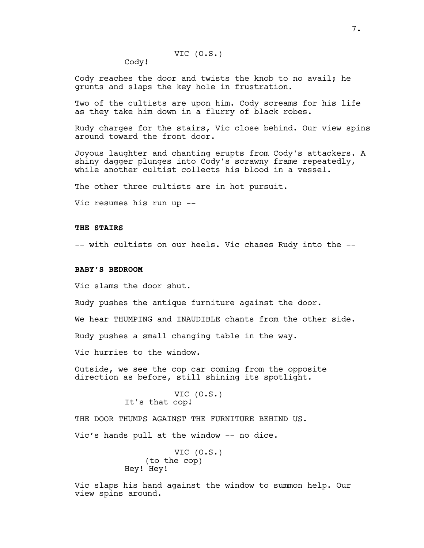7.

# VIC (O.S.)

Cody!

Cody reaches the door and twists the knob to no avail; he grunts and slaps the key hole in frustration.

Two of the cultists are upon him. Cody screams for his life as they take him down in a flurry of black robes.

Rudy charges for the stairs, Vic close behind. Our view spins around toward the front door.

Joyous laughter and chanting erupts from Cody's attackers. A shiny dagger plunges into Cody's scrawny frame repeatedly, while another cultist collects his blood in a vessel.

The other three cultists are in hot pursuit.

Vic resumes his run up --

## **THE STAIRS**

-- with cultists on our heels. Vic chases Rudy into the --

#### **BABY'S BEDROOM**

Vic slams the door shut.

Rudy pushes the antique furniture against the door.

We hear THUMPING and INAUDIBLE chants from the other side.

Rudy pushes a small changing table in the way.

Vic hurries to the window.

Outside, we see the cop car coming from the opposite direction as before, still shining its spotlight.

> VIC (O.S.) It's that cop!

THE DOOR THUMPS AGAINST THE FURNITURE BEHIND US.

Vic's hands pull at the window -- no dice.

VIC (O.S.) (to the cop) Hey! Hey!

Vic slaps his hand against the window to summon help. Our view spins around.